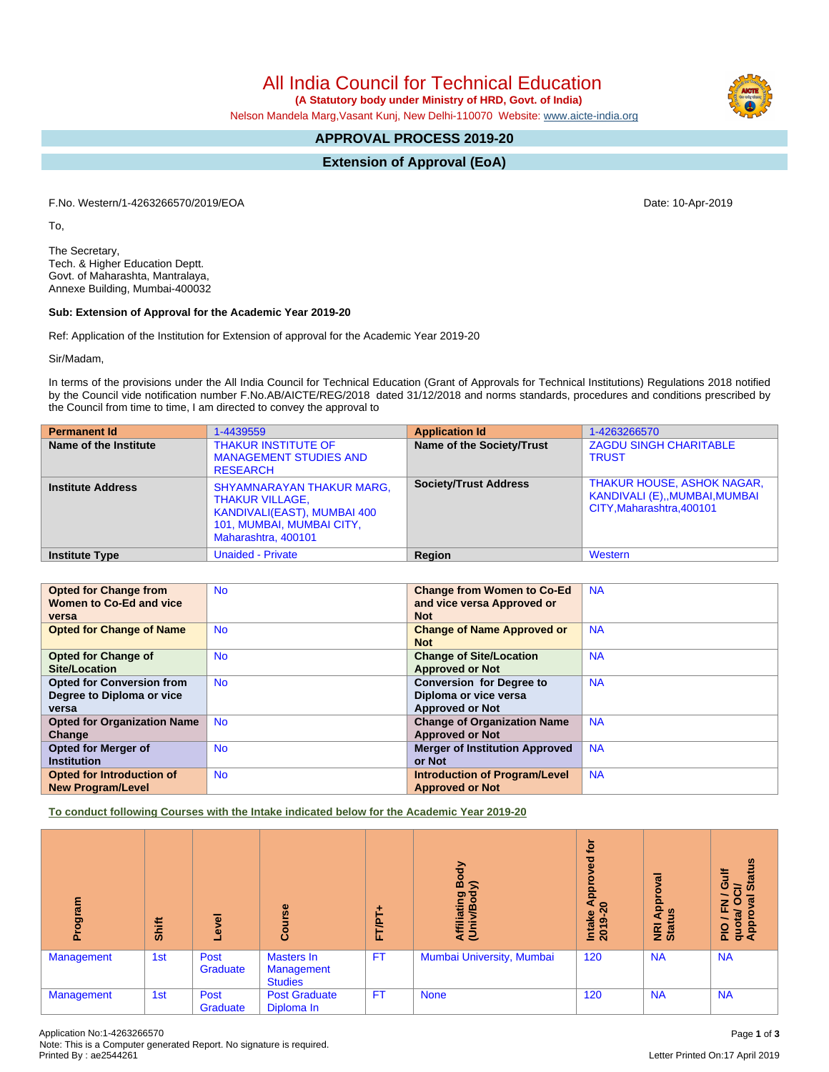All India Council for Technical Education

 **(A Statutory body under Ministry of HRD, Govt. of India)**

Nelson Mandela Marg,Vasant Kunj, New Delhi-110070 Website: [www.aicte-india.org](http://www.aicte-india.org)

# **APPROVAL PROCESS 2019-20**

**Extension of Approval (EoA)**

F.No. Western/1-4263266570/2019/EOA Date: 10-Apr-2019

To,

The Secretary, Tech. & Higher Education Deptt. Govt. of Maharashta, Mantralaya, Annexe Building, Mumbai-400032

#### **Sub: Extension of Approval for the Academic Year 2019-20**

Ref: Application of the Institution for Extension of approval for the Academic Year 2019-20

Sir/Madam,

In terms of the provisions under the All India Council for Technical Education (Grant of Approvals for Technical Institutions) Regulations 2018 notified by the Council vide notification number F.No.AB/AICTE/REG/2018 dated 31/12/2018 and norms standards, procedures and conditions prescribed by the Council from time to time, I am directed to convey the approval to

| <b>Permanent Id</b>      | 1-4439559                                                                                                                                     | <b>Application Id</b>        | 1-4263266570                                                                                   |
|--------------------------|-----------------------------------------------------------------------------------------------------------------------------------------------|------------------------------|------------------------------------------------------------------------------------------------|
| Name of the Institute    | <b>THAKUR INSTITUTE OF</b><br><b>MANAGEMENT STUDIES AND</b><br><b>RESEARCH</b>                                                                | Name of the Society/Trust    | <b>ZAGDU SINGH CHARITABLE</b><br><b>TRUST</b>                                                  |
| <b>Institute Address</b> | <b>SHYAMNARAYAN THAKUR MARG,</b><br><b>THAKUR VILLAGE,</b><br>KANDIVALI(EAST), MUMBAI 400<br>101, MUMBAI, MUMBAI CITY,<br>Maharashtra, 400101 | <b>Society/Trust Address</b> | <b>THAKUR HOUSE, ASHOK NAGAR,</b><br>KANDIVALI (E),,MUMBAI,MUMBAI<br>CITY, Maharashtra, 400101 |
| <b>Institute Type</b>    | <b>Unaided - Private</b>                                                                                                                      | Region                       | Western                                                                                        |

| <b>Opted for Change from</b>       | <b>No</b> | <b>Change from Women to Co-Ed</b>     | <b>NA</b> |
|------------------------------------|-----------|---------------------------------------|-----------|
| Women to Co-Ed and vice            |           | and vice versa Approved or            |           |
| versa                              |           | <b>Not</b>                            |           |
| <b>Opted for Change of Name</b>    | <b>No</b> | <b>Change of Name Approved or</b>     | <b>NA</b> |
|                                    |           | <b>Not</b>                            |           |
| <b>Opted for Change of</b>         | <b>No</b> | <b>Change of Site/Location</b>        | <b>NA</b> |
| <b>Site/Location</b>               |           | <b>Approved or Not</b>                |           |
| <b>Opted for Conversion from</b>   | <b>No</b> | <b>Conversion for Degree to</b>       | <b>NA</b> |
| Degree to Diploma or vice          |           | Diploma or vice versa                 |           |
| versa                              |           | <b>Approved or Not</b>                |           |
| <b>Opted for Organization Name</b> | <b>No</b> | <b>Change of Organization Name</b>    | <b>NA</b> |
| Change                             |           | <b>Approved or Not</b>                |           |
| Opted for Merger of                | <b>No</b> | <b>Merger of Institution Approved</b> | <b>NA</b> |
| <b>Institution</b>                 |           | or Not                                |           |
| Opted for Introduction of          | <b>No</b> | <b>Introduction of Program/Level</b>  | <b>NA</b> |
| <b>New Program/Level</b>           |           | <b>Approved or Not</b>                |           |

**To conduct following Courses with the Intake indicated below for the Academic Year 2019-20**

| rogram<br>ō.      | Shift | ē,<br>٩          | rse<br>Cour                                       | FT/PT-    | Body<br>$\widehat{\phantom{a}}$<br>Affiliating<br>(Univ/Bod) | <b>b</b><br>9g<br>e Appi<br>Intake<br>2019-2 | ह<br>Approv<br>9<br><b>NE</b><br>Stat | <b>Status</b><br><b>Gulf</b><br>$\overline{5}$<br>∽<br>ड़<br>$\circ$<br>ᅎ<br>PIO / F<br>quota/<br>Approv |
|-------------------|-------|------------------|---------------------------------------------------|-----------|--------------------------------------------------------------|----------------------------------------------|---------------------------------------|----------------------------------------------------------------------------------------------------------|
| <b>Management</b> | 1st   | Post<br>Graduate | Masters In<br><b>Management</b><br><b>Studies</b> | <b>FT</b> | Mumbai University, Mumbai                                    | 120                                          | <b>NA</b>                             | <b>NA</b>                                                                                                |
| <b>Management</b> | 1st   | Post<br>Graduate | <b>Post Graduate</b><br>Diploma In                | <b>FT</b> | <b>None</b>                                                  | 120                                          | <b>NA</b>                             | <b>NA</b>                                                                                                |

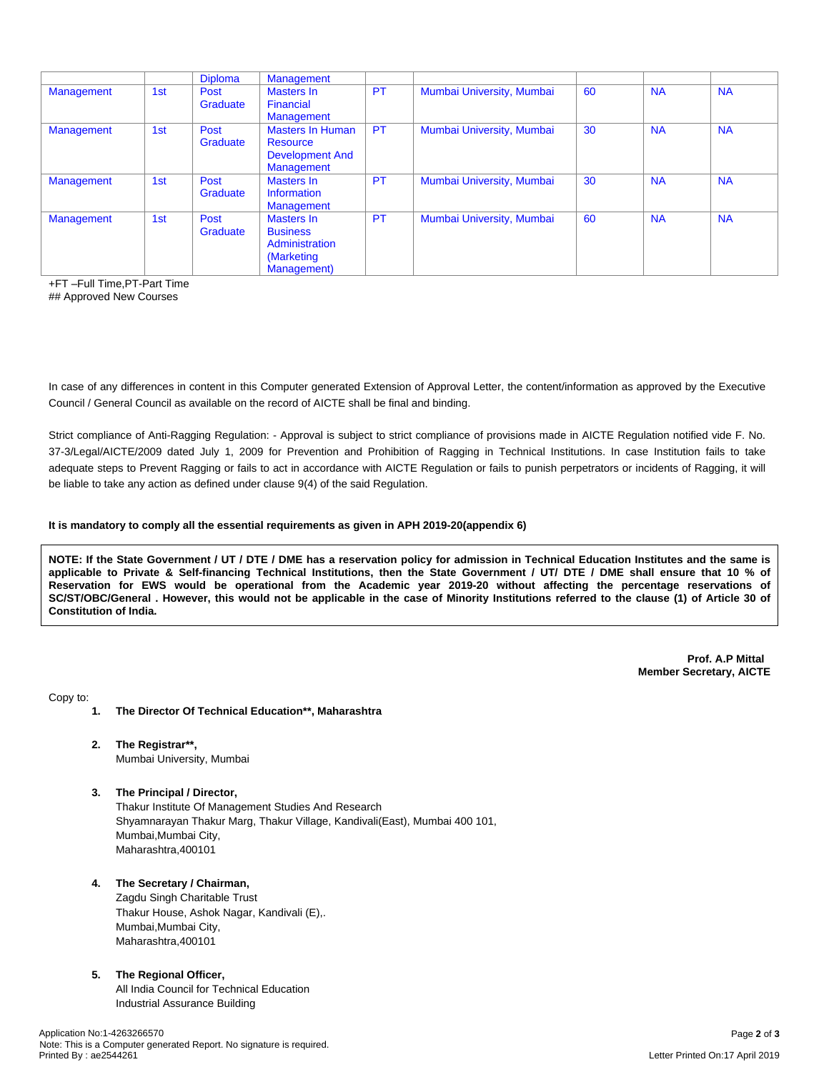|                   |     | <b>Diploma</b>   | <b>Management</b>                                                                  |           |                           |    |           |           |
|-------------------|-----|------------------|------------------------------------------------------------------------------------|-----------|---------------------------|----|-----------|-----------|
| Management        | 1st | Post<br>Graduate | Masters In<br>Financial<br>Management                                              | <b>PT</b> | Mumbai University, Mumbai | 60 | <b>NA</b> | <b>NA</b> |
| <b>Management</b> | 1st | Post<br>Graduate | <b>Masters In Human</b><br>Resource<br><b>Development And</b><br><b>Management</b> | <b>PT</b> | Mumbai University, Mumbai | 30 | <b>NA</b> | <b>NA</b> |
| Management        | 1st | Post<br>Graduate | Masters In<br>Information<br><b>Management</b>                                     | <b>PT</b> | Mumbai University, Mumbai | 30 | <b>NA</b> | <b>NA</b> |
| Management        | 1st | Post<br>Graduate | Masters In<br><b>Business</b><br>Administration<br>(Marketing<br>Management)       | <b>PT</b> | Mumbai University, Mumbai | 60 | <b>NA</b> | <b>NA</b> |

+FT –Full Time,PT-Part Time

## Approved New Courses

In case of any differences in content in this Computer generated Extension of Approval Letter, the content/information as approved by the Executive Council / General Council as available on the record of AICTE shall be final and binding.

Strict compliance of Anti-Ragging Regulation: - Approval is subject to strict compliance of provisions made in AICTE Regulation notified vide F. No. 37-3/Legal/AICTE/2009 dated July 1, 2009 for Prevention and Prohibition of Ragging in Technical Institutions. In case Institution fails to take adequate steps to Prevent Ragging or fails to act in accordance with AICTE Regulation or fails to punish perpetrators or incidents of Ragging, it will be liable to take any action as defined under clause 9(4) of the said Regulation.

#### **It is mandatory to comply all the essential requirements as given in APH 2019-20(appendix 6)**

NOTE: If the State Government / UT / DTE / DME has a reservation policy for admission in Technical Education Institutes and the same is applicable to Private & Self-financing Technical Institutions, then the State Government / UT/ DTE / DME shall ensure that 10 % of Reservation for EWS would be operational from the Academic year 2019-20 without affecting the percentage reservations of SC/ST/OBC/General . However, this would not be applicable in the case of Minority Institutions referred to the clause (1) of Article 30 of **Constitution of India.**

> **Prof. A.P Mittal Member Secretary, AICTE**

Copy to:

- **1. The Director Of Technical Education\*\*, Maharashtra**
- **2. The Registrar\*\*,** Mumbai University, Mumbai
- **3. The Principal / Director,**

Thakur Institute Of Management Studies And Research Shyamnarayan Thakur Marg, Thakur Village, Kandivali(East), Mumbai 400 101, Mumbai,Mumbai City, Maharashtra,400101

### **4. The Secretary / Chairman,**

Zagdu Singh Charitable Trust Thakur House, Ashok Nagar, Kandivali (E),. Mumbai,Mumbai City, Maharashtra,400101

## **5. The Regional Officer,**

All India Council for Technical Education Industrial Assurance Building